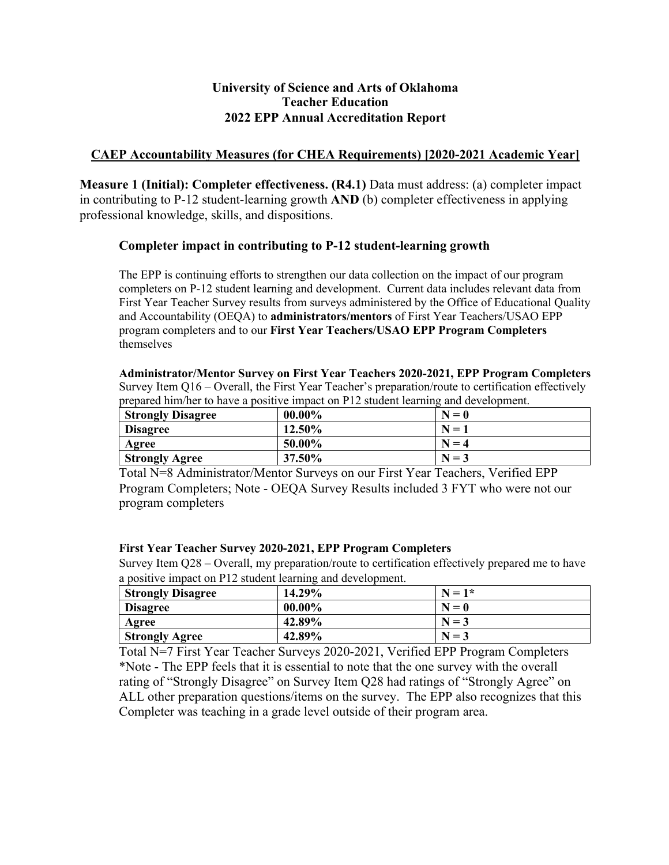# **2022 EPP Annual Accreditation Report University of Science and Arts of Oklahoma Teacher Education**

## **CAEP Accountability Measures (for CHEA Requirements) [2020-2021 Academic Year]**

 **Measure 1 (Initial): Completer effectiveness. (R4.1)** Data must address: (a) completer impact in contributing to P-12 student-learning growth **AND** (b) completer effectiveness in applying professional knowledge, skills, and dispositions.

### **Completer impact in contributing to P-12 student-learning growth**

 The EPP is continuing efforts to strengthen our data collection on the impact of our program completers on P-12 student learning and development. Current data includes relevant data from First Year Teacher Survey results from surveys administered by the Office of Educational Quality and Accountability (OEQA) to **administrators/mentors** of First Year Teachers/USAO EPP program completers and to our **First Year Teachers/USAO EPP Program Completers**  themselves

 **Administrator/Mentor Survey on First Year Teachers 2020-2021, EPP Program Completers**  Survey Item Q16 – Overall, the First Year Teacher's preparation/route to certification effectively prepared him/her to have a positive impact on P12 student learning and development.

| <b>Strongly Disagree</b> | $00.00\%$ | $N=0$   |
|--------------------------|-----------|---------|
| <b>Disagree</b>          | 12.50%    | $N=1$   |
| Agree                    | 50.00%    | $N=4$   |
| <b>Strongly Agree</b>    | 37.50%    | $N = 3$ |

 Program Completers; Note - OEQA Survey Results included 3 FYT who were not our Total N=8 Administrator/Mentor Surveys on our First Year Teachers, Verified EPP program completers

#### **First Year Teacher Survey 2020-2021, EPP Program Completers**

 Survey Item Q28 – Overall, my preparation/route to certification effectively prepared me to have a positive impact on P12 student learning and development.

| <b>Strongly Disagree</b> | 14.29%    | $N = 1*$ |
|--------------------------|-----------|----------|
| <b>Disagree</b>          | $00.00\%$ | $N=0$    |
| Agree                    | 42.89%    | $N = 3$  |
| <b>Strongly Agree</b>    | 42.89%    | $N = 3$  |

 \*Note - The EPP feels that it is essential to note that the one survey with the overall Total N=7 First Year Teacher Surveys 2020-2021, Verified EPP Program Completers rating of "Strongly Disagree" on Survey Item Q28 had ratings of "Strongly Agree" on ALL other preparation questions/items on the survey. The EPP also recognizes that this Completer was teaching in a grade level outside of their program area.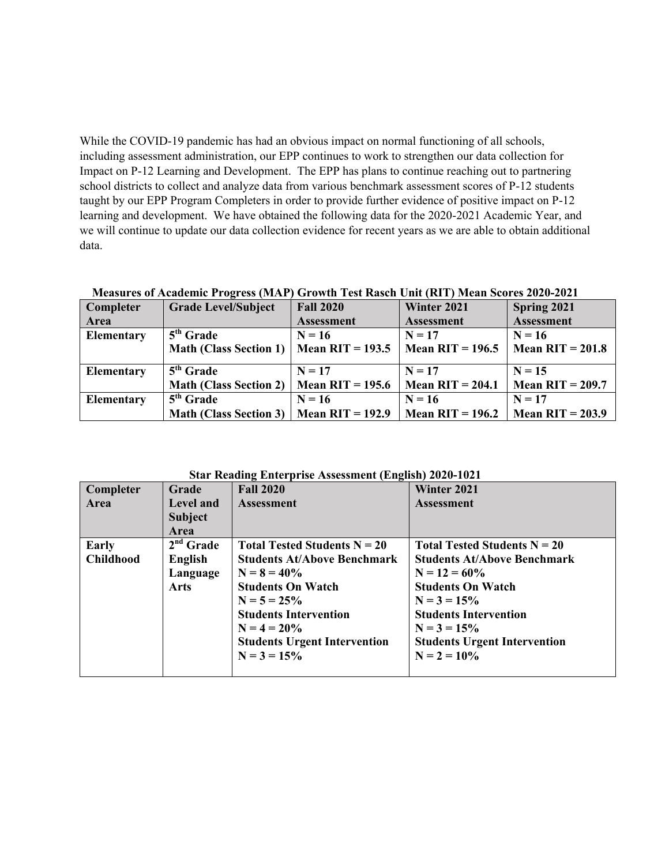While the COVID-19 pandemic has had an obvious impact on normal functioning of all schools, Impact on P-12 Learning and Development. The EPP has plans to continue reaching out to partnering learning and development. We have obtained the following data for the 2020-2021 Academic Year, and we will continue to update our data collection evidence for recent years as we are able to obtain additional including assessment administration, our EPP continues to work to strengthen our data collection for school districts to collect and analyze data from various benchmark assessment scores of P-12 students taught by our EPP Program Completers in order to provide further evidence of positive impact on P-12 data.

| Completer         | <b>Grade Level/Subject</b>                  | <b>Fall 2020</b>   | Winter 2021        | Spring 2021        |
|-------------------|---------------------------------------------|--------------------|--------------------|--------------------|
| Area              |                                             | <b>Assessment</b>  | <b>Assessment</b>  | <b>Assessment</b>  |
| Elementary        | $5th$ Grade                                 | $N = 16$           | $N = 17$           | $N = 16$           |
|                   | <b>Math (Class Section 1)</b>               | Mean RIT = $193.5$ | Mean RIT = $196.5$ | Mean $RIT = 201.8$ |
|                   |                                             |                    |                    |                    |
| <b>Elementary</b> | $5th$ Grade                                 | $N = 17$           | $N = 17$           | $N = 15$           |
|                   | <b>Math (Class Section 2)</b>               | Mean RIT = $195.6$ | Mean $RIT = 204.1$ | Mean $RIT = 209.7$ |
| <b>Elementary</b> | $5th$ Grade                                 | $N = 16$           | $N = 16$           | $N = 17$           |
|                   | Math (Class Section 3)   Mean RIT = $192.9$ |                    | Mean RIT = $196.2$ | Mean RIT = $203.9$ |

 **Measures of Academic Progress (MAP) Growth Test Rasch Unit (RIT) Mean Scores 2020-2021** 

| <b>Star Reading Enterprise Assessment (English) 2020-1021</b> |                  |                                     |                                     |  |
|---------------------------------------------------------------|------------------|-------------------------------------|-------------------------------------|--|
| Completer                                                     | Grade            | <b>Fall 2020</b>                    | Winter 2021                         |  |
| Area                                                          | <b>Level and</b> | <b>Assessment</b>                   | <b>Assessment</b>                   |  |
|                                                               | <b>Subject</b>   |                                     |                                     |  |
|                                                               | <b>Area</b>      |                                     |                                     |  |
| Early                                                         | $2nd$ Grade      | Total Tested Students $N = 20$      | Total Tested Students $N = 20$      |  |
| <b>Childhood</b>                                              | English          | <b>Students At/Above Benchmark</b>  | <b>Students At/Above Benchmark</b>  |  |
|                                                               | Language         | $N = 8 = 40\%$                      | $N = 12 = 60\%$                     |  |
|                                                               | Arts             | <b>Students On Watch</b>            | <b>Students On Watch</b>            |  |
|                                                               |                  | $N = 5 = 25\%$                      | $N = 3 = 15%$                       |  |
|                                                               |                  | <b>Students Intervention</b>        | <b>Students Intervention</b>        |  |
|                                                               |                  | $N = 4 = 20\%$                      | $N = 3 = 15%$                       |  |
|                                                               |                  | <b>Students Urgent Intervention</b> | <b>Students Urgent Intervention</b> |  |
|                                                               |                  | $N = 3 = 15\%$                      | $N = 2 = 10\%$                      |  |
|                                                               |                  |                                     |                                     |  |

**Star Reading Enterprise Assessment (English) 2020-1021**